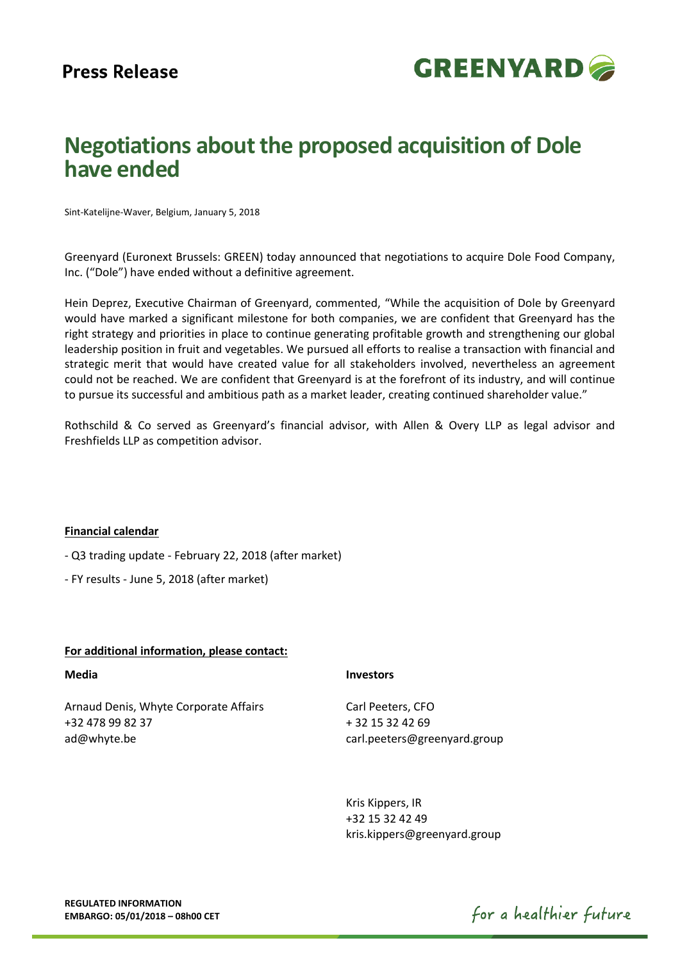

# **Negotiations about the proposed acquisition of Dole have ended**

Sint-Katelijne-Waver, Belgium, January 5, 2018

Greenyard (Euronext Brussels: GREEN) today announced that negotiations to acquire Dole Food Company, Inc. ("Dole") have ended without a definitive agreement.

Hein Deprez, Executive Chairman of Greenyard, commented, "While the acquisition of Dole by Greenyard would have marked a significant milestone for both companies, we are confident that Greenyard has the right strategy and priorities in place to continue generating profitable growth and strengthening our global leadership position in fruit and vegetables. We pursued all efforts to realise a transaction with financial and strategic merit that would have created value for all stakeholders involved, nevertheless an agreement could not be reached. We are confident that Greenyard is at the forefront of its industry, and will continue to pursue its successful and ambitious path as a market leader, creating continued shareholder value."

Rothschild & Co served as Greenyard's financial advisor, with Allen & Overy LLP as legal advisor and Freshfields LLP as competition advisor.

## **Financial calendar**

- Q3 trading update - February 22, 2018 (after market)

- FY results - June 5, 2018 (after market)

## **For additional information, please contact:**

## **Media**

Arnaud Denis, Whyte Corporate Affairs +32 478 99 82 37 ad@whyte.be

## **Investors**

Carl Peeters, CFO + 32 15 32 42 69 carl.peeters@greenyard.group

Kris Kippers, IR +32 15 32 42 49 kris.kippers@greenyard.group

for a healthier future